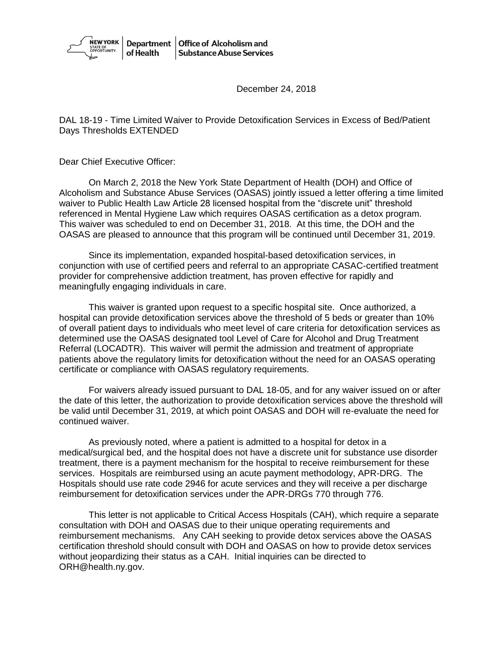

December 24, 2018

DAL 18-19 - Time Limited Waiver to Provide Detoxification Services in Excess of Bed/Patient Days Thresholds EXTENDED

Dear Chief Executive Officer:

On March 2, 2018 the New York State Department of Health (DOH) and Office of Alcoholism and Substance Abuse Services (OASAS) jointly issued a letter offering a time limited waiver to Public Health Law Article 28 licensed hospital from the "discrete unit" threshold referenced in Mental Hygiene Law which requires OASAS certification as a detox program. This waiver was scheduled to end on December 31, 2018. At this time, the DOH and the OASAS are pleased to announce that this program will be continued until December 31, 2019.

Since its implementation, expanded hospital-based detoxification services, in conjunction with use of certified peers and referral to an appropriate CASAC-certified treatment provider for comprehensive addiction treatment, has proven effective for rapidly and meaningfully engaging individuals in care.

This waiver is granted upon request to a specific hospital site. Once authorized, a hospital can provide detoxification services above the threshold of 5 beds or greater than 10% of overall patient days to individuals who meet level of care criteria for detoxification services as determined use the OASAS designated tool Level of Care for Alcohol and Drug Treatment Referral (LOCADTR). This waiver will permit the admission and treatment of appropriate patients above the regulatory limits for detoxification without the need for an OASAS operating certificate or compliance with OASAS regulatory requirements.

For waivers already issued pursuant to DAL 18-05, and for any waiver issued on or after the date of this letter, the authorization to provide detoxification services above the threshold will be valid until December 31, 2019, at which point OASAS and DOH will re-evaluate the need for continued waiver.

As previously noted, where a patient is admitted to a hospital for detox in a medical/surgical bed, and the hospital does not have a discrete unit for substance use disorder treatment, there is a payment mechanism for the hospital to receive reimbursement for these services. Hospitals are reimbursed using an acute payment methodology, APR-DRG. The Hospitals should use rate code 2946 for acute services and they will receive a per discharge reimbursement for detoxification services under the APR-DRGs 770 through 776.

This letter is not applicable to Critical Access Hospitals (CAH), which require a separate consultation with DOH and OASAS due to their unique operating requirements and reimbursement mechanisms. Any CAH seeking to provide detox services above the OASAS certification threshold should consult with DOH and OASAS on how to provide detox services without jeopardizing their status as a CAH. Initial inquiries can be directed to ORH@health.ny.gov.